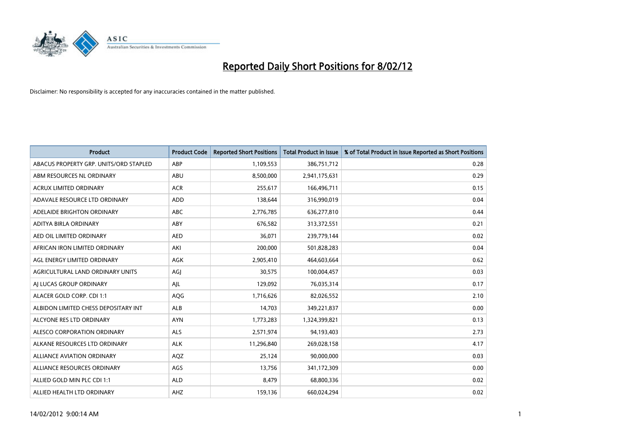

| <b>Product</b>                         | <b>Product Code</b> | <b>Reported Short Positions</b> | <b>Total Product in Issue</b> | % of Total Product in Issue Reported as Short Positions |
|----------------------------------------|---------------------|---------------------------------|-------------------------------|---------------------------------------------------------|
| ABACUS PROPERTY GRP. UNITS/ORD STAPLED | ABP                 | 1,109,553                       | 386,751,712                   | 0.28                                                    |
| ABM RESOURCES NL ORDINARY              | ABU                 | 8,500,000                       | 2,941,175,631                 | 0.29                                                    |
| <b>ACRUX LIMITED ORDINARY</b>          | <b>ACR</b>          | 255,617                         | 166,496,711                   | 0.15                                                    |
| ADAVALE RESOURCE LTD ORDINARY          | <b>ADD</b>          | 138,644                         | 316,990,019                   | 0.04                                                    |
| ADELAIDE BRIGHTON ORDINARY             | <b>ABC</b>          | 2,776,785                       | 636,277,810                   | 0.44                                                    |
| ADITYA BIRLA ORDINARY                  | ABY                 | 676,582                         | 313,372,551                   | 0.21                                                    |
| AED OIL LIMITED ORDINARY               | <b>AED</b>          | 36,071                          | 239,779,144                   | 0.02                                                    |
| AFRICAN IRON LIMITED ORDINARY          | AKI                 | 200,000                         | 501,828,283                   | 0.04                                                    |
| AGL ENERGY LIMITED ORDINARY            | <b>AGK</b>          | 2,905,410                       | 464,603,664                   | 0.62                                                    |
| AGRICULTURAL LAND ORDINARY UNITS       | AGI                 | 30,575                          | 100,004,457                   | 0.03                                                    |
| AI LUCAS GROUP ORDINARY                | AJL                 | 129,092                         | 76,035,314                    | 0.17                                                    |
| ALACER GOLD CORP. CDI 1:1              | AQG                 | 1,716,626                       | 82,026,552                    | 2.10                                                    |
| ALBIDON LIMITED CHESS DEPOSITARY INT   | ALB                 | 14,703                          | 349,221,837                   | 0.00                                                    |
| ALCYONE RES LTD ORDINARY               | <b>AYN</b>          | 1,773,283                       | 1,324,399,821                 | 0.13                                                    |
| ALESCO CORPORATION ORDINARY            | <b>ALS</b>          | 2,571,974                       | 94,193,403                    | 2.73                                                    |
| ALKANE RESOURCES LTD ORDINARY          | <b>ALK</b>          | 11,296,840                      | 269,028,158                   | 4.17                                                    |
| ALLIANCE AVIATION ORDINARY             | AQZ                 | 25,124                          | 90,000,000                    | 0.03                                                    |
| ALLIANCE RESOURCES ORDINARY            | AGS                 | 13,756                          | 341,172,309                   | 0.00                                                    |
| ALLIED GOLD MIN PLC CDI 1:1            | <b>ALD</b>          | 8,479                           | 68,800,336                    | 0.02                                                    |
| ALLIED HEALTH LTD ORDINARY             | AHZ                 | 159,136                         | 660,024,294                   | 0.02                                                    |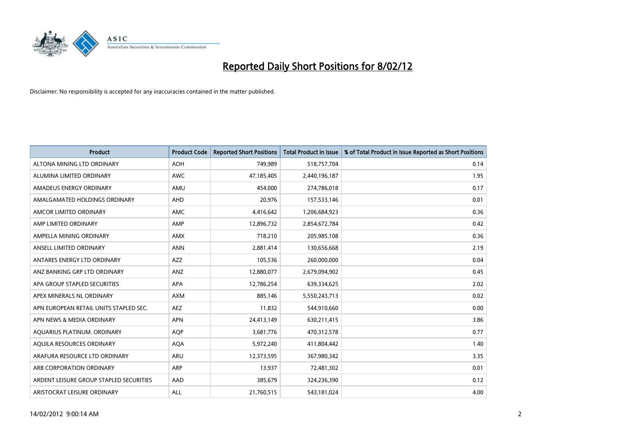

| <b>Product</b>                          | <b>Product Code</b> | <b>Reported Short Positions</b> | <b>Total Product in Issue</b> | % of Total Product in Issue Reported as Short Positions |
|-----------------------------------------|---------------------|---------------------------------|-------------------------------|---------------------------------------------------------|
| ALTONA MINING LTD ORDINARY              | <b>AOH</b>          | 749,989                         | 518,757,704                   | 0.14                                                    |
| ALUMINA LIMITED ORDINARY                | AWC                 | 47,185,405                      | 2,440,196,187                 | 1.95                                                    |
| AMADEUS ENERGY ORDINARY                 | AMU                 | 454,000                         | 274,786,018                   | 0.17                                                    |
| AMALGAMATED HOLDINGS ORDINARY           | AHD                 | 20,976                          | 157,533,146                   | 0.01                                                    |
| AMCOR LIMITED ORDINARY                  | AMC                 | 4,416,642                       | 1,206,684,923                 | 0.36                                                    |
| AMP LIMITED ORDINARY                    | AMP                 | 12,896,732                      | 2,854,672,784                 | 0.42                                                    |
| AMPELLA MINING ORDINARY                 | <b>AMX</b>          | 718,210                         | 205,985,108                   | 0.36                                                    |
| ANSELL LIMITED ORDINARY                 | <b>ANN</b>          | 2,881,414                       | 130,656,668                   | 2.19                                                    |
| ANTARES ENERGY LTD ORDINARY             | <b>AZZ</b>          | 105,536                         | 260,000,000                   | 0.04                                                    |
| ANZ BANKING GRP LTD ORDINARY            | ANZ                 | 12,880,077                      | 2,679,094,902                 | 0.45                                                    |
| APA GROUP STAPLED SECURITIES            | APA                 | 12,786,254                      | 639,334,625                   | 2.02                                                    |
| APEX MINERALS NL ORDINARY               | <b>AXM</b>          | 885,146                         | 5,550,243,713                 | 0.02                                                    |
| APN EUROPEAN RETAIL UNITS STAPLED SEC.  | AEZ                 | 11,832                          | 544,910,660                   | 0.00                                                    |
| APN NEWS & MEDIA ORDINARY               | <b>APN</b>          | 24,413,149                      | 630,211,415                   | 3.86                                                    |
| AQUARIUS PLATINUM. ORDINARY             | AQP                 | 3,681,776                       | 470,312,578                   | 0.77                                                    |
| AQUILA RESOURCES ORDINARY               | <b>AQA</b>          | 5,972,240                       | 411,804,442                   | 1.40                                                    |
| ARAFURA RESOURCE LTD ORDINARY           | ARU                 | 12,373,595                      | 367,980,342                   | 3.35                                                    |
| ARB CORPORATION ORDINARY                | ARP                 | 13,937                          | 72,481,302                    | 0.01                                                    |
| ARDENT LEISURE GROUP STAPLED SECURITIES | AAD                 | 385,679                         | 324,236,390                   | 0.12                                                    |
| ARISTOCRAT LEISURE ORDINARY             | ALL                 | 21,760,515                      | 543,181,024                   | 4.00                                                    |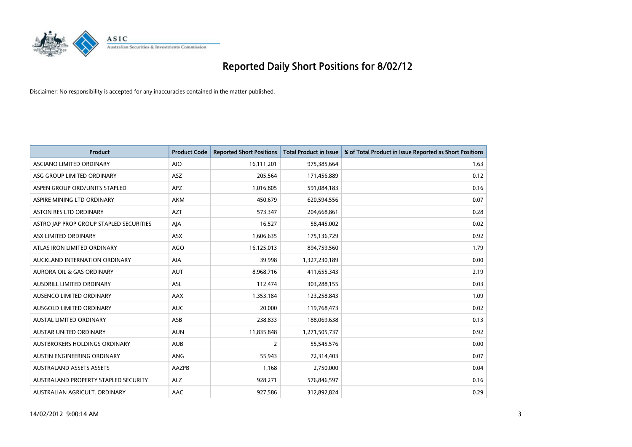

| <b>Product</b>                          | <b>Product Code</b> | <b>Reported Short Positions</b> | <b>Total Product in Issue</b> | % of Total Product in Issue Reported as Short Positions |
|-----------------------------------------|---------------------|---------------------------------|-------------------------------|---------------------------------------------------------|
| ASCIANO LIMITED ORDINARY                | <b>AIO</b>          | 16,111,201                      | 975,385,664                   | 1.63                                                    |
| ASG GROUP LIMITED ORDINARY              | ASZ                 | 205,564                         | 171,456,889                   | 0.12                                                    |
| ASPEN GROUP ORD/UNITS STAPLED           | <b>APZ</b>          | 1,016,805                       | 591,084,183                   | 0.16                                                    |
| ASPIRE MINING LTD ORDINARY              | <b>AKM</b>          | 450,679                         | 620,594,556                   | 0.07                                                    |
| <b>ASTON RES LTD ORDINARY</b>           | <b>AZT</b>          | 573,347                         | 204,668,861                   | 0.28                                                    |
| ASTRO JAP PROP GROUP STAPLED SECURITIES | AJA                 | 16,527                          | 58,445,002                    | 0.02                                                    |
| ASX LIMITED ORDINARY                    | ASX                 | 1,606,635                       | 175,136,729                   | 0.92                                                    |
| ATLAS IRON LIMITED ORDINARY             | AGO                 | 16,125,013                      | 894,759,560                   | 1.79                                                    |
| AUCKLAND INTERNATION ORDINARY           | AIA                 | 39,998                          | 1,327,230,189                 | 0.00                                                    |
| <b>AURORA OIL &amp; GAS ORDINARY</b>    | <b>AUT</b>          | 8,968,716                       | 411,655,343                   | 2.19                                                    |
| AUSDRILL LIMITED ORDINARY               | ASL                 | 112,474                         | 303,288,155                   | 0.03                                                    |
| AUSENCO LIMITED ORDINARY                | AAX                 | 1,353,184                       | 123,258,843                   | 1.09                                                    |
| AUSGOLD LIMITED ORDINARY                | <b>AUC</b>          | 20,000                          | 119,768,473                   | 0.02                                                    |
| <b>AUSTAL LIMITED ORDINARY</b>          | ASB                 | 238,833                         | 188,069,638                   | 0.13                                                    |
| AUSTAR UNITED ORDINARY                  | <b>AUN</b>          | 11,835,848                      | 1,271,505,737                 | 0.92                                                    |
| AUSTBROKERS HOLDINGS ORDINARY           | <b>AUB</b>          | 2                               | 55,545,576                    | 0.00                                                    |
| AUSTIN ENGINEERING ORDINARY             | ANG                 | 55,943                          | 72,314,403                    | 0.07                                                    |
| <b>AUSTRALAND ASSETS ASSETS</b>         | AAZPB               | 1,168                           | 2,750,000                     | 0.04                                                    |
| AUSTRALAND PROPERTY STAPLED SECURITY    | <b>ALZ</b>          | 928,271                         | 576,846,597                   | 0.16                                                    |
| AUSTRALIAN AGRICULT. ORDINARY           | AAC                 | 927,586                         | 312,892,824                   | 0.29                                                    |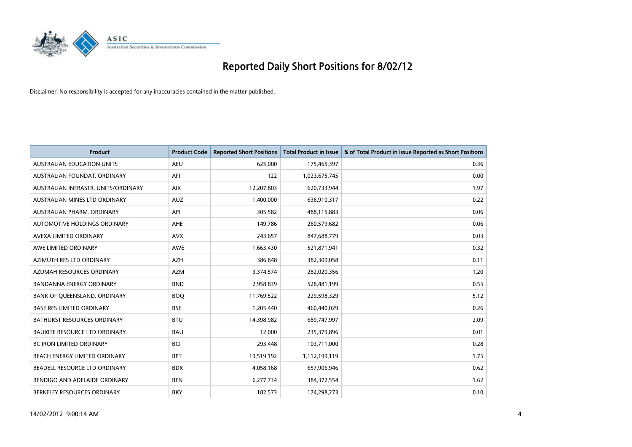

| <b>Product</b>                       | <b>Product Code</b> | <b>Reported Short Positions</b> | <b>Total Product in Issue</b> | % of Total Product in Issue Reported as Short Positions |
|--------------------------------------|---------------------|---------------------------------|-------------------------------|---------------------------------------------------------|
| <b>AUSTRALIAN EDUCATION UNITS</b>    | <b>AEU</b>          | 625,000                         | 175,465,397                   | 0.36                                                    |
| AUSTRALIAN FOUNDAT, ORDINARY         | AFI                 | 122                             | 1,023,675,745                 | 0.00                                                    |
| AUSTRALIAN INFRASTR, UNITS/ORDINARY  | <b>AIX</b>          | 12,207,803                      | 620,733,944                   | 1.97                                                    |
| AUSTRALIAN MINES LTD ORDINARY        | <b>AUZ</b>          | 1,400,000                       | 636,910,317                   | 0.22                                                    |
| AUSTRALIAN PHARM, ORDINARY           | API                 | 305,582                         | 488,115,883                   | 0.06                                                    |
| <b>AUTOMOTIVE HOLDINGS ORDINARY</b>  | <b>AHE</b>          | 149,786                         | 260,579,682                   | 0.06                                                    |
| AVEXA LIMITED ORDINARY               | <b>AVX</b>          | 243,657                         | 847,688,779                   | 0.03                                                    |
| AWE LIMITED ORDINARY                 | <b>AWE</b>          | 1,663,430                       | 521,871,941                   | 0.32                                                    |
| AZIMUTH RES LTD ORDINARY             | AZH                 | 386,848                         | 382,309,058                   | 0.11                                                    |
| AZUMAH RESOURCES ORDINARY            | <b>AZM</b>          | 3,374,574                       | 282,020,356                   | 1.20                                                    |
| <b>BANDANNA ENERGY ORDINARY</b>      | <b>BND</b>          | 2,958,839                       | 528,481,199                   | 0.55                                                    |
| BANK OF QUEENSLAND. ORDINARY         | <b>BOQ</b>          | 11,769,522                      | 229,598,329                   | 5.12                                                    |
| <b>BASE RES LIMITED ORDINARY</b>     | <b>BSE</b>          | 1,205,440                       | 460,440,029                   | 0.26                                                    |
| <b>BATHURST RESOURCES ORDINARY</b>   | <b>BTU</b>          | 14,398,982                      | 689,747,997                   | 2.09                                                    |
| <b>BAUXITE RESOURCE LTD ORDINARY</b> | <b>BAU</b>          | 12,000                          | 235,379,896                   | 0.01                                                    |
| <b>BC IRON LIMITED ORDINARY</b>      | <b>BCI</b>          | 293,448                         | 103,711,000                   | 0.28                                                    |
| BEACH ENERGY LIMITED ORDINARY        | <b>BPT</b>          | 19,519,192                      | 1,112,199,119                 | 1.75                                                    |
| BEADELL RESOURCE LTD ORDINARY        | <b>BDR</b>          | 4,058,168                       | 657,906,946                   | 0.62                                                    |
| BENDIGO AND ADELAIDE ORDINARY        | <b>BEN</b>          | 6,277,734                       | 384, 372, 554                 | 1.62                                                    |
| BERKELEY RESOURCES ORDINARY          | <b>BKY</b>          | 182,573                         | 174,298,273                   | 0.10                                                    |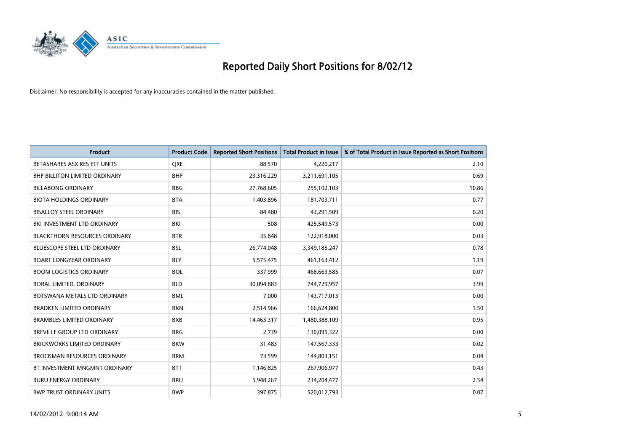

| <b>Product</b>                       | <b>Product Code</b> | <b>Reported Short Positions</b> | <b>Total Product in Issue</b> | % of Total Product in Issue Reported as Short Positions |
|--------------------------------------|---------------------|---------------------------------|-------------------------------|---------------------------------------------------------|
| BETASHARES ASX RES ETF UNITS         | <b>ORE</b>          | 88,570                          | 4,220,217                     | 2.10                                                    |
| <b>BHP BILLITON LIMITED ORDINARY</b> | <b>BHP</b>          | 23,316,229                      | 3,211,691,105                 | 0.69                                                    |
| <b>BILLABONG ORDINARY</b>            | <b>BBG</b>          | 27,768,605                      | 255,102,103                   | 10.86                                                   |
| <b>BIOTA HOLDINGS ORDINARY</b>       | <b>BTA</b>          | 1,403,896                       | 181,703,711                   | 0.77                                                    |
| <b>BISALLOY STEEL ORDINARY</b>       | <b>BIS</b>          | 84,480                          | 43,291,509                    | 0.20                                                    |
| BKI INVESTMENT LTD ORDINARY          | BKI                 | 508                             | 425,549,573                   | 0.00                                                    |
| <b>BLACKTHORN RESOURCES ORDINARY</b> | <b>BTR</b>          | 35,848                          | 122,918,000                   | 0.03                                                    |
| BLUESCOPE STEEL LTD ORDINARY         | <b>BSL</b>          | 26,774,048                      | 3,349,185,247                 | 0.78                                                    |
| <b>BOART LONGYEAR ORDINARY</b>       | <b>BLY</b>          | 5,575,475                       | 461,163,412                   | 1.19                                                    |
| <b>BOOM LOGISTICS ORDINARY</b>       | <b>BOL</b>          | 337,999                         | 468,663,585                   | 0.07                                                    |
| BORAL LIMITED. ORDINARY              | <b>BLD</b>          | 30,094,883                      | 744,729,957                   | 3.99                                                    |
| BOTSWANA METALS LTD ORDINARY         | <b>BML</b>          | 7,000                           | 143,717,013                   | 0.00                                                    |
| <b>BRADKEN LIMITED ORDINARY</b>      | <b>BKN</b>          | 2,514,966                       | 166,624,800                   | 1.50                                                    |
| <b>BRAMBLES LIMITED ORDINARY</b>     | <b>BXB</b>          | 14,463,317                      | 1,480,388,109                 | 0.95                                                    |
| <b>BREVILLE GROUP LTD ORDINARY</b>   | <b>BRG</b>          | 2,739                           | 130,095,322                   | 0.00                                                    |
| BRICKWORKS LIMITED ORDINARY          | <b>BKW</b>          | 31,483                          | 147,567,333                   | 0.02                                                    |
| <b>BROCKMAN RESOURCES ORDINARY</b>   | <b>BRM</b>          | 73,599                          | 144,803,151                   | 0.04                                                    |
| BT INVESTMENT MNGMNT ORDINARY        | <b>BTT</b>          | 1,146,825                       | 267,906,977                   | 0.43                                                    |
| <b>BURU ENERGY ORDINARY</b>          | <b>BRU</b>          | 5,948,267                       | 234,204,477                   | 2.54                                                    |
| <b>BWP TRUST ORDINARY UNITS</b>      | <b>BWP</b>          | 397,875                         | 520,012,793                   | 0.07                                                    |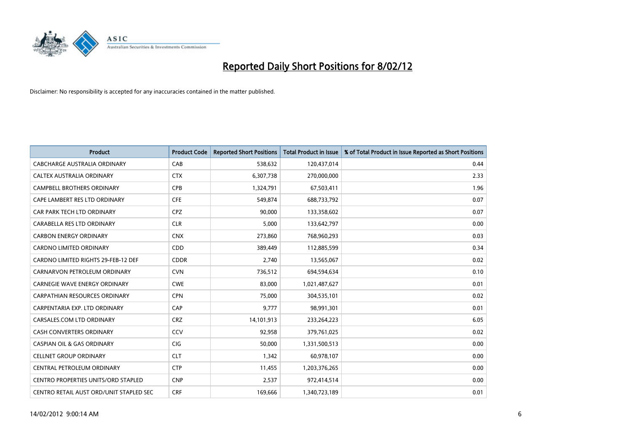

| <b>Product</b>                             | <b>Product Code</b> | <b>Reported Short Positions</b> | <b>Total Product in Issue</b> | % of Total Product in Issue Reported as Short Positions |
|--------------------------------------------|---------------------|---------------------------------|-------------------------------|---------------------------------------------------------|
| <b>CABCHARGE AUSTRALIA ORDINARY</b>        | CAB                 | 538,632                         | 120,437,014                   | 0.44                                                    |
| CALTEX AUSTRALIA ORDINARY                  | <b>CTX</b>          | 6,307,738                       | 270,000,000                   | 2.33                                                    |
| <b>CAMPBELL BROTHERS ORDINARY</b>          | <b>CPB</b>          | 1,324,791                       | 67,503,411                    | 1.96                                                    |
| CAPE LAMBERT RES LTD ORDINARY              | <b>CFE</b>          | 549,874                         | 688,733,792                   | 0.07                                                    |
| CAR PARK TECH LTD ORDINARY                 | <b>CPZ</b>          | 90.000                          | 133,358,602                   | 0.07                                                    |
| CARABELLA RES LTD ORDINARY                 | <b>CLR</b>          | 5,000                           | 133,642,797                   | 0.00                                                    |
| <b>CARBON ENERGY ORDINARY</b>              | <b>CNX</b>          | 273,860                         | 768,960,293                   | 0.03                                                    |
| <b>CARDNO LIMITED ORDINARY</b>             | CDD                 | 389,449                         | 112,885,599                   | 0.34                                                    |
| CARDNO LIMITED RIGHTS 29-FEB-12 DEF        | <b>CDDR</b>         | 2,740                           | 13,565,067                    | 0.02                                                    |
| CARNARVON PETROLEUM ORDINARY               | <b>CVN</b>          | 736,512                         | 694,594,634                   | 0.10                                                    |
| CARNEGIE WAVE ENERGY ORDINARY              | <b>CWE</b>          | 83,000                          | 1,021,487,627                 | 0.01                                                    |
| <b>CARPATHIAN RESOURCES ORDINARY</b>       | <b>CPN</b>          | 75,000                          | 304,535,101                   | 0.02                                                    |
| CARPENTARIA EXP. LTD ORDINARY              | CAP                 | 9,777                           | 98,991,301                    | 0.01                                                    |
| CARSALES.COM LTD ORDINARY                  | <b>CRZ</b>          | 14,101,913                      | 233,264,223                   | 6.05                                                    |
| <b>CASH CONVERTERS ORDINARY</b>            | CCV                 | 92,958                          | 379,761,025                   | 0.02                                                    |
| <b>CASPIAN OIL &amp; GAS ORDINARY</b>      | <b>CIG</b>          | 50,000                          | 1,331,500,513                 | 0.00                                                    |
| <b>CELLNET GROUP ORDINARY</b>              | <b>CLT</b>          | 1,342                           | 60,978,107                    | 0.00                                                    |
| CENTRAL PETROLEUM ORDINARY                 | <b>CTP</b>          | 11,455                          | 1,203,376,265                 | 0.00                                                    |
| <b>CENTRO PROPERTIES UNITS/ORD STAPLED</b> | <b>CNP</b>          | 2,537                           | 972,414,514                   | 0.00                                                    |
| CENTRO RETAIL AUST ORD/UNIT STAPLED SEC    | <b>CRF</b>          | 169,666                         | 1,340,723,189                 | 0.01                                                    |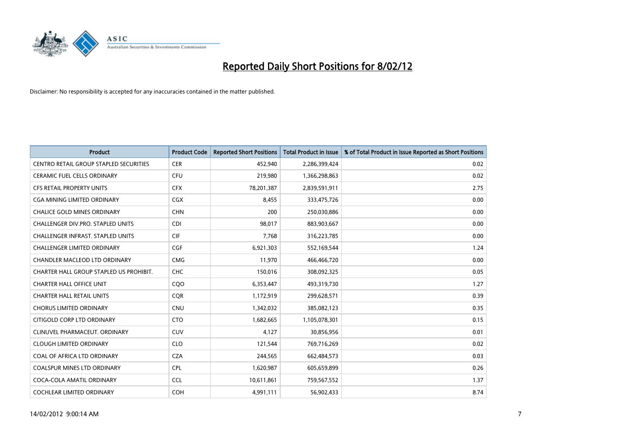

| <b>Product</b>                                | <b>Product Code</b> | <b>Reported Short Positions</b> | <b>Total Product in Issue</b> | % of Total Product in Issue Reported as Short Positions |
|-----------------------------------------------|---------------------|---------------------------------|-------------------------------|---------------------------------------------------------|
| <b>CENTRO RETAIL GROUP STAPLED SECURITIES</b> | <b>CER</b>          | 452,940                         | 2,286,399,424                 | 0.02                                                    |
| CERAMIC FUEL CELLS ORDINARY                   | <b>CFU</b>          | 219,980                         | 1,366,298,863                 | 0.02                                                    |
| <b>CFS RETAIL PROPERTY UNITS</b>              | <b>CFX</b>          | 78,201,387                      | 2,839,591,911                 | 2.75                                                    |
| CGA MINING LIMITED ORDINARY                   | CGX                 | 8,455                           | 333,475,726                   | 0.00                                                    |
| <b>CHALICE GOLD MINES ORDINARY</b>            | <b>CHN</b>          | 200                             | 250,030,886                   | 0.00                                                    |
| CHALLENGER DIV.PRO. STAPLED UNITS             | <b>CDI</b>          | 98,017                          | 883,903,667                   | 0.00                                                    |
| <b>CHALLENGER INFRAST, STAPLED UNITS</b>      | <b>CIF</b>          | 7,768                           | 316,223,785                   | 0.00                                                    |
| <b>CHALLENGER LIMITED ORDINARY</b>            | <b>CGF</b>          | 6,921,303                       | 552,169,544                   | 1.24                                                    |
| CHANDLER MACLEOD LTD ORDINARY                 | <b>CMG</b>          | 11,970                          | 466,466,720                   | 0.00                                                    |
| CHARTER HALL GROUP STAPLED US PROHIBIT.       | <b>CHC</b>          | 150,016                         | 308,092,325                   | 0.05                                                    |
| <b>CHARTER HALL OFFICE UNIT</b>               | CQO                 | 6,353,447                       | 493,319,730                   | 1.27                                                    |
| <b>CHARTER HALL RETAIL UNITS</b>              | <b>CQR</b>          | 1,172,919                       | 299,628,571                   | 0.39                                                    |
| <b>CHORUS LIMITED ORDINARY</b>                | <b>CNU</b>          | 1,342,032                       | 385,082,123                   | 0.35                                                    |
| CITIGOLD CORP LTD ORDINARY                    | <b>CTO</b>          | 1,682,665                       | 1,105,078,301                 | 0.15                                                    |
| CLINUVEL PHARMACEUT, ORDINARY                 | <b>CUV</b>          | 4,127                           | 30,856,956                    | 0.01                                                    |
| <b>CLOUGH LIMITED ORDINARY</b>                | <b>CLO</b>          | 121,544                         | 769,716,269                   | 0.02                                                    |
| COAL OF AFRICA LTD ORDINARY                   | <b>CZA</b>          | 244,565                         | 662,484,573                   | 0.03                                                    |
| COALSPUR MINES LTD ORDINARY                   | <b>CPL</b>          | 1,620,987                       | 605,659,899                   | 0.26                                                    |
| COCA-COLA AMATIL ORDINARY                     | <b>CCL</b>          | 10,611,861                      | 759,567,552                   | 1.37                                                    |
| COCHLEAR LIMITED ORDINARY                     | <b>COH</b>          | 4,991,111                       | 56,902,433                    | 8.74                                                    |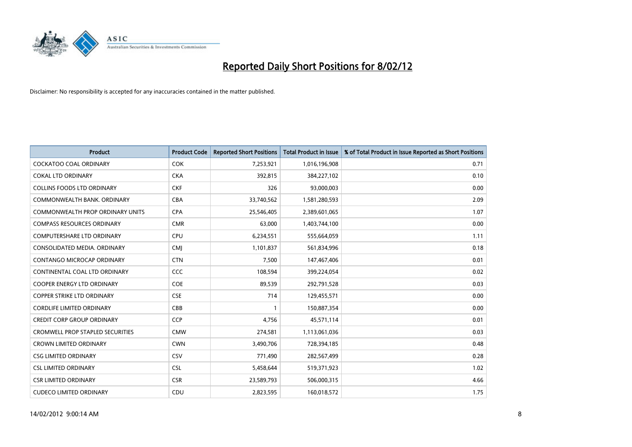

| <b>Product</b>                          | <b>Product Code</b> | <b>Reported Short Positions</b> | <b>Total Product in Issue</b> | % of Total Product in Issue Reported as Short Positions |
|-----------------------------------------|---------------------|---------------------------------|-------------------------------|---------------------------------------------------------|
| <b>COCKATOO COAL ORDINARY</b>           | <b>COK</b>          | 7,253,921                       | 1,016,196,908                 | 0.71                                                    |
| <b>COKAL LTD ORDINARY</b>               | <b>CKA</b>          | 392,815                         | 384,227,102                   | 0.10                                                    |
| <b>COLLINS FOODS LTD ORDINARY</b>       | <b>CKF</b>          | 326                             | 93,000,003                    | 0.00                                                    |
| COMMONWEALTH BANK, ORDINARY             | <b>CBA</b>          | 33,740,562                      | 1,581,280,593                 | 2.09                                                    |
| <b>COMMONWEALTH PROP ORDINARY UNITS</b> | <b>CPA</b>          | 25,546,405                      | 2,389,601,065                 | 1.07                                                    |
| <b>COMPASS RESOURCES ORDINARY</b>       | <b>CMR</b>          | 63,000                          | 1,403,744,100                 | 0.00                                                    |
| <b>COMPUTERSHARE LTD ORDINARY</b>       | <b>CPU</b>          | 6,234,551                       | 555,664,059                   | 1.11                                                    |
| CONSOLIDATED MEDIA, ORDINARY            | <b>CMJ</b>          | 1,101,837                       | 561,834,996                   | 0.18                                                    |
| CONTANGO MICROCAP ORDINARY              | <b>CTN</b>          | 7,500                           | 147,467,406                   | 0.01                                                    |
| CONTINENTAL COAL LTD ORDINARY           | <b>CCC</b>          | 108,594                         | 399,224,054                   | 0.02                                                    |
| COOPER ENERGY LTD ORDINARY              | <b>COE</b>          | 89,539                          | 292,791,528                   | 0.03                                                    |
| <b>COPPER STRIKE LTD ORDINARY</b>       | <b>CSE</b>          | 714                             | 129,455,571                   | 0.00                                                    |
| <b>CORDLIFE LIMITED ORDINARY</b>        | CBB                 | 1                               | 150,887,354                   | 0.00                                                    |
| <b>CREDIT CORP GROUP ORDINARY</b>       | <b>CCP</b>          | 4,756                           | 45,571,114                    | 0.01                                                    |
| <b>CROMWELL PROP STAPLED SECURITIES</b> | <b>CMW</b>          | 274,581                         | 1,113,061,036                 | 0.03                                                    |
| <b>CROWN LIMITED ORDINARY</b>           | <b>CWN</b>          | 3,490,706                       | 728,394,185                   | 0.48                                                    |
| <b>CSG LIMITED ORDINARY</b>             | <b>CSV</b>          | 771,490                         | 282,567,499                   | 0.28                                                    |
| <b>CSL LIMITED ORDINARY</b>             | <b>CSL</b>          | 5,458,644                       | 519,371,923                   | 1.02                                                    |
| <b>CSR LIMITED ORDINARY</b>             | <b>CSR</b>          | 23,589,793                      | 506,000,315                   | 4.66                                                    |
| <b>CUDECO LIMITED ORDINARY</b>          | CDU                 | 2.823.595                       | 160,018,572                   | 1.75                                                    |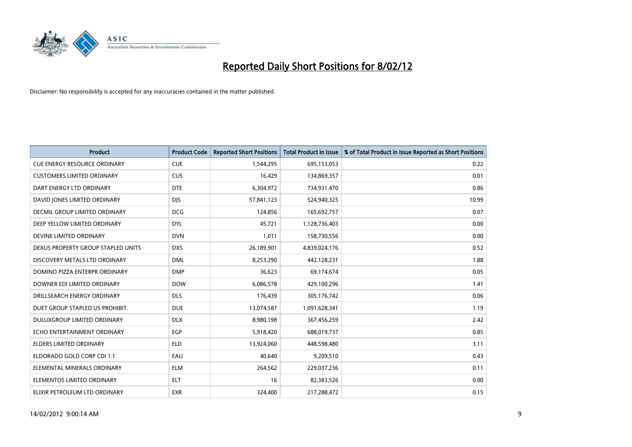

| <b>Product</b>                      | <b>Product Code</b> | <b>Reported Short Positions</b> | <b>Total Product in Issue</b> | % of Total Product in Issue Reported as Short Positions |
|-------------------------------------|---------------------|---------------------------------|-------------------------------|---------------------------------------------------------|
| <b>CUE ENERGY RESOURCE ORDINARY</b> | <b>CUE</b>          | 1,544,295                       | 695,153,053                   | 0.22                                                    |
| <b>CUSTOMERS LIMITED ORDINARY</b>   | <b>CUS</b>          | 16,429                          | 134,869,357                   | 0.01                                                    |
| DART ENERGY LTD ORDINARY            | <b>DTE</b>          | 6,304,972                       | 734,931,470                   | 0.86                                                    |
| DAVID JONES LIMITED ORDINARY        | <b>DIS</b>          | 57,841,123                      | 524,940,325                   | 10.99                                                   |
| DECMIL GROUP LIMITED ORDINARY       | <b>DCG</b>          | 124,856                         | 165,692,757                   | 0.07                                                    |
| DEEP YELLOW LIMITED ORDINARY        | <b>DYL</b>          | 45,721                          | 1,128,736,403                 | 0.00                                                    |
| DEVINE LIMITED ORDINARY             | <b>DVN</b>          | 1,011                           | 158,730,556                   | 0.00                                                    |
| DEXUS PROPERTY GROUP STAPLED UNITS  | <b>DXS</b>          | 26,189,901                      | 4,839,024,176                 | 0.52                                                    |
| DISCOVERY METALS LTD ORDINARY       | <b>DML</b>          | 8,253,290                       | 442,128,231                   | 1.88                                                    |
| DOMINO PIZZA ENTERPR ORDINARY       | <b>DMP</b>          | 36,623                          | 69,174,674                    | 0.05                                                    |
| DOWNER EDI LIMITED ORDINARY         | <b>DOW</b>          | 6,086,578                       | 429,100,296                   | 1.41                                                    |
| DRILLSEARCH ENERGY ORDINARY         | <b>DLS</b>          | 176,439                         | 305,176,742                   | 0.06                                                    |
| DUET GROUP STAPLED US PROHIBIT.     | <b>DUE</b>          | 13,074,587                      | 1,091,628,341                 | 1.19                                                    |
| DULUXGROUP LIMITED ORDINARY         | <b>DLX</b>          | 8,980,198                       | 367,456,259                   | 2.42                                                    |
| ECHO ENTERTAINMENT ORDINARY         | EGP                 | 5,918,420                       | 688,019,737                   | 0.85                                                    |
| ELDERS LIMITED ORDINARY             | <b>ELD</b>          | 13,924,060                      | 448,598,480                   | 3.11                                                    |
| ELDORADO GOLD CORP CDI 1:1          | EAU                 | 40,640                          | 9,209,510                     | 0.43                                                    |
| ELEMENTAL MINERALS ORDINARY         | <b>ELM</b>          | 264,562                         | 229,037,236                   | 0.11                                                    |
| ELEMENTOS LIMITED ORDINARY          | <b>ELT</b>          | 16                              | 82,383,526                    | 0.00                                                    |
| ELIXIR PETROLEUM LTD ORDINARY       | <b>EXR</b>          | 324,400                         | 217,288,472                   | 0.15                                                    |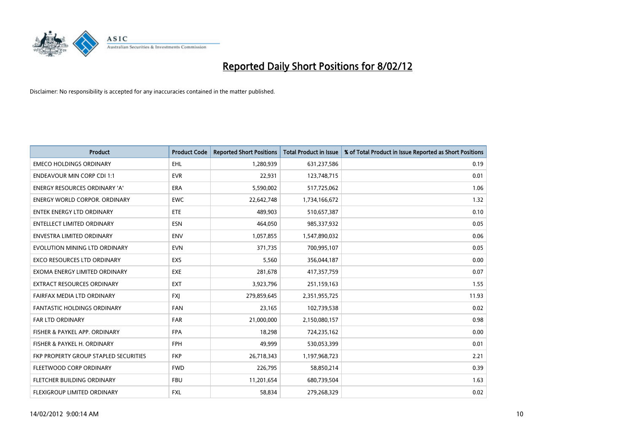

| <b>Product</b>                        | <b>Product Code</b> | <b>Reported Short Positions</b> | <b>Total Product in Issue</b> | % of Total Product in Issue Reported as Short Positions |
|---------------------------------------|---------------------|---------------------------------|-------------------------------|---------------------------------------------------------|
| <b>EMECO HOLDINGS ORDINARY</b>        | <b>EHL</b>          | 1,280,939                       | 631,237,586                   | 0.19                                                    |
| <b>ENDEAVOUR MIN CORP CDI 1:1</b>     | <b>EVR</b>          | 22,931                          | 123,748,715                   | 0.01                                                    |
| <b>ENERGY RESOURCES ORDINARY 'A'</b>  | <b>ERA</b>          | 5,590,002                       | 517,725,062                   | 1.06                                                    |
| ENERGY WORLD CORPOR. ORDINARY         | <b>EWC</b>          | 22,642,748                      | 1,734,166,672                 | 1.32                                                    |
| <b>ENTEK ENERGY LTD ORDINARY</b>      | ETE                 | 489,903                         | 510,657,387                   | 0.10                                                    |
| <b>ENTELLECT LIMITED ORDINARY</b>     | <b>ESN</b>          | 464,050                         | 985,337,932                   | 0.05                                                    |
| <b>ENVESTRA LIMITED ORDINARY</b>      | <b>ENV</b>          | 1,057,855                       | 1,547,890,032                 | 0.06                                                    |
| EVOLUTION MINING LTD ORDINARY         | <b>EVN</b>          | 371,735                         | 700,995,107                   | 0.05                                                    |
| <b>EXCO RESOURCES LTD ORDINARY</b>    | <b>EXS</b>          | 5,560                           | 356,044,187                   | 0.00                                                    |
| EXOMA ENERGY LIMITED ORDINARY         | <b>EXE</b>          | 281,678                         | 417,357,759                   | 0.07                                                    |
| EXTRACT RESOURCES ORDINARY            | <b>EXT</b>          | 3,923,796                       | 251,159,163                   | 1.55                                                    |
| FAIRFAX MEDIA LTD ORDINARY            | FXJ                 | 279,859,645                     | 2,351,955,725                 | 11.93                                                   |
| FANTASTIC HOLDINGS ORDINARY           | <b>FAN</b>          | 23,165                          | 102,739,538                   | 0.02                                                    |
| <b>FAR LTD ORDINARY</b>               | <b>FAR</b>          | 21,000,000                      | 2,150,080,157                 | 0.98                                                    |
| FISHER & PAYKEL APP. ORDINARY         | <b>FPA</b>          | 18,298                          | 724,235,162                   | 0.00                                                    |
| FISHER & PAYKEL H. ORDINARY           | <b>FPH</b>          | 49,999                          | 530,053,399                   | 0.01                                                    |
| FKP PROPERTY GROUP STAPLED SECURITIES | <b>FKP</b>          | 26,718,343                      | 1,197,968,723                 | 2.21                                                    |
| FLEETWOOD CORP ORDINARY               | <b>FWD</b>          | 226,795                         | 58,850,214                    | 0.39                                                    |
| FLETCHER BUILDING ORDINARY            | <b>FBU</b>          | 11,201,654                      | 680,739,504                   | 1.63                                                    |
| FLEXIGROUP LIMITED ORDINARY           | <b>FXL</b>          | 58,834                          | 279,268,329                   | 0.02                                                    |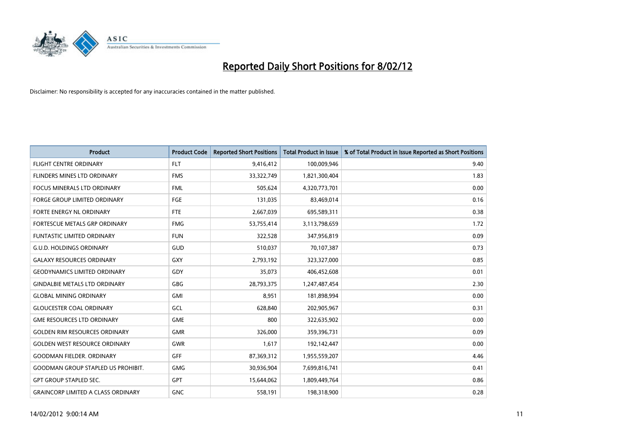

| <b>Product</b>                            | <b>Product Code</b> | <b>Reported Short Positions</b> | <b>Total Product in Issue</b> | % of Total Product in Issue Reported as Short Positions |
|-------------------------------------------|---------------------|---------------------------------|-------------------------------|---------------------------------------------------------|
| <b>FLIGHT CENTRE ORDINARY</b>             | <b>FLT</b>          | 9,416,412                       | 100,009,946                   | 9.40                                                    |
| FLINDERS MINES LTD ORDINARY               | <b>FMS</b>          | 33,322,749                      | 1,821,300,404                 | 1.83                                                    |
| <b>FOCUS MINERALS LTD ORDINARY</b>        | <b>FML</b>          | 505,624                         | 4,320,773,701                 | 0.00                                                    |
| FORGE GROUP LIMITED ORDINARY              | FGE                 | 131,035                         | 83,469,014                    | 0.16                                                    |
| FORTE ENERGY NL ORDINARY                  | FTE                 | 2,667,039                       | 695,589,311                   | 0.38                                                    |
| FORTESCUE METALS GRP ORDINARY             | <b>FMG</b>          | 53,755,414                      | 3,113,798,659                 | 1.72                                                    |
| <b>FUNTASTIC LIMITED ORDINARY</b>         | <b>FUN</b>          | 322,528                         | 347,956,819                   | 0.09                                                    |
| <b>G.U.D. HOLDINGS ORDINARY</b>           | GUD                 | 510,037                         | 70,107,387                    | 0.73                                                    |
| <b>GALAXY RESOURCES ORDINARY</b>          | <b>GXY</b>          | 2,793,192                       | 323,327,000                   | 0.85                                                    |
| <b>GEODYNAMICS LIMITED ORDINARY</b>       | GDY                 | 35,073                          | 406,452,608                   | 0.01                                                    |
| <b>GINDALBIE METALS LTD ORDINARY</b>      | GBG                 | 28,793,375                      | 1,247,487,454                 | 2.30                                                    |
| <b>GLOBAL MINING ORDINARY</b>             | GMI                 | 8,951                           | 181,898,994                   | 0.00                                                    |
| <b>GLOUCESTER COAL ORDINARY</b>           | GCL                 | 628.840                         | 202,905,967                   | 0.31                                                    |
| <b>GME RESOURCES LTD ORDINARY</b>         | <b>GME</b>          | 800                             | 322,635,902                   | 0.00                                                    |
| <b>GOLDEN RIM RESOURCES ORDINARY</b>      | <b>GMR</b>          | 326,000                         | 359,396,731                   | 0.09                                                    |
| <b>GOLDEN WEST RESOURCE ORDINARY</b>      | <b>GWR</b>          | 1,617                           | 192,142,447                   | 0.00                                                    |
| <b>GOODMAN FIELDER, ORDINARY</b>          | GFF                 | 87,369,312                      | 1,955,559,207                 | 4.46                                                    |
| <b>GOODMAN GROUP STAPLED US PROHIBIT.</b> | <b>GMG</b>          | 30,936,904                      | 7,699,816,741                 | 0.41                                                    |
| <b>GPT GROUP STAPLED SEC.</b>             | <b>GPT</b>          | 15,644,062                      | 1,809,449,764                 | 0.86                                                    |
| <b>GRAINCORP LIMITED A CLASS ORDINARY</b> | <b>GNC</b>          | 558,191                         | 198,318,900                   | 0.28                                                    |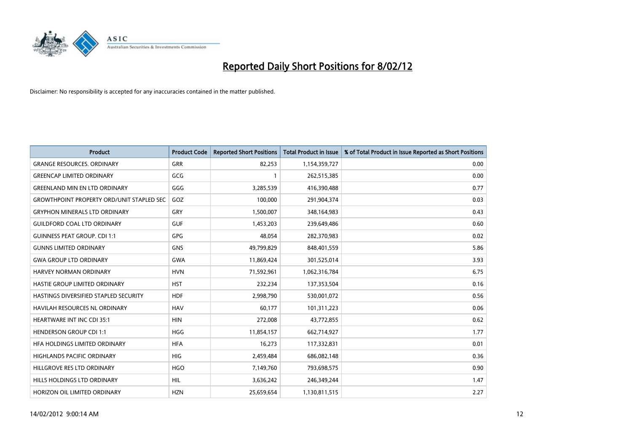

| <b>Product</b>                                   | <b>Product Code</b> | <b>Reported Short Positions</b> | <b>Total Product in Issue</b> | % of Total Product in Issue Reported as Short Positions |
|--------------------------------------------------|---------------------|---------------------------------|-------------------------------|---------------------------------------------------------|
| <b>GRANGE RESOURCES, ORDINARY</b>                | <b>GRR</b>          | 82,253                          | 1,154,359,727                 | 0.00                                                    |
| <b>GREENCAP LIMITED ORDINARY</b>                 | GCG                 |                                 | 262,515,385                   | 0.00                                                    |
| <b>GREENLAND MIN EN LTD ORDINARY</b>             | GGG                 | 3,285,539                       | 416,390,488                   | 0.77                                                    |
| <b>GROWTHPOINT PROPERTY ORD/UNIT STAPLED SEC</b> | GOZ                 | 100,000                         | 291,904,374                   | 0.03                                                    |
| <b>GRYPHON MINERALS LTD ORDINARY</b>             | GRY                 | 1,500,007                       | 348,164,983                   | 0.43                                                    |
| <b>GUILDFORD COAL LTD ORDINARY</b>               | <b>GUF</b>          | 1,453,203                       | 239,649,486                   | 0.60                                                    |
| <b>GUINNESS PEAT GROUP. CDI 1:1</b>              | <b>GPG</b>          | 48.054                          | 282,370,983                   | 0.02                                                    |
| <b>GUNNS LIMITED ORDINARY</b>                    | <b>GNS</b>          | 49,799,829                      | 848,401,559                   | 5.86                                                    |
| <b>GWA GROUP LTD ORDINARY</b>                    | <b>GWA</b>          | 11,869,424                      | 301,525,014                   | 3.93                                                    |
| <b>HARVEY NORMAN ORDINARY</b>                    | <b>HVN</b>          | 71,592,961                      | 1,062,316,784                 | 6.75                                                    |
| HASTIE GROUP LIMITED ORDINARY                    | <b>HST</b>          | 232,234                         | 137,353,504                   | 0.16                                                    |
| HASTINGS DIVERSIFIED STAPLED SECURITY            | <b>HDF</b>          | 2,998,790                       | 530,001,072                   | 0.56                                                    |
| HAVILAH RESOURCES NL ORDINARY                    | <b>HAV</b>          | 60,177                          | 101,311,223                   | 0.06                                                    |
| <b>HEARTWARE INT INC CDI 35:1</b>                | <b>HIN</b>          | 272,008                         | 43,772,855                    | 0.62                                                    |
| <b>HENDERSON GROUP CDI 1:1</b>                   | <b>HGG</b>          | 11,854,157                      | 662,714,927                   | 1.77                                                    |
| HFA HOLDINGS LIMITED ORDINARY                    | <b>HFA</b>          | 16,273                          | 117,332,831                   | 0.01                                                    |
| HIGHLANDS PACIFIC ORDINARY                       | HIG                 | 2,459,484                       | 686,082,148                   | 0.36                                                    |
| HILLGROVE RES LTD ORDINARY                       | <b>HGO</b>          | 7,149,760                       | 793,698,575                   | 0.90                                                    |
| HILLS HOLDINGS LTD ORDINARY                      | <b>HIL</b>          | 3,636,242                       | 246,349,244                   | 1.47                                                    |
| HORIZON OIL LIMITED ORDINARY                     | <b>HZN</b>          | 25,659,654                      | 1,130,811,515                 | 2.27                                                    |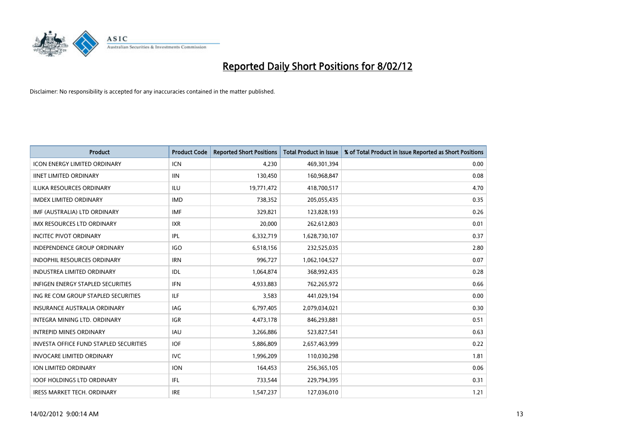

| <b>Product</b>                                | <b>Product Code</b> | <b>Reported Short Positions</b> | <b>Total Product in Issue</b> | % of Total Product in Issue Reported as Short Positions |
|-----------------------------------------------|---------------------|---------------------------------|-------------------------------|---------------------------------------------------------|
| <b>ICON ENERGY LIMITED ORDINARY</b>           | <b>ICN</b>          | 4,230                           | 469,301,394                   | 0.00                                                    |
| <b>IINET LIMITED ORDINARY</b>                 | <b>IIN</b>          | 130,450                         | 160,968,847                   | 0.08                                                    |
| <b>ILUKA RESOURCES ORDINARY</b>               | ILU                 | 19,771,472                      | 418,700,517                   | 4.70                                                    |
| <b>IMDEX LIMITED ORDINARY</b>                 | <b>IMD</b>          | 738,352                         | 205,055,435                   | 0.35                                                    |
| IMF (AUSTRALIA) LTD ORDINARY                  | <b>IMF</b>          | 329,821                         | 123,828,193                   | 0.26                                                    |
| <b>IMX RESOURCES LTD ORDINARY</b>             | <b>IXR</b>          | 20,000                          | 262,612,803                   | 0.01                                                    |
| <b>INCITEC PIVOT ORDINARY</b>                 | IPL                 | 6,332,719                       | 1,628,730,107                 | 0.37                                                    |
| INDEPENDENCE GROUP ORDINARY                   | <b>IGO</b>          | 6,518,156                       | 232,525,035                   | 2.80                                                    |
| <b>INDOPHIL RESOURCES ORDINARY</b>            | <b>IRN</b>          | 996,727                         | 1,062,104,527                 | 0.07                                                    |
| <b>INDUSTREA LIMITED ORDINARY</b>             | IDL.                | 1,064,874                       | 368,992,435                   | 0.28                                                    |
| INFIGEN ENERGY STAPLED SECURITIES             | <b>IFN</b>          | 4,933,883                       | 762,265,972                   | 0.66                                                    |
| ING RE COM GROUP STAPLED SECURITIES           | ILF.                | 3,583                           | 441,029,194                   | 0.00                                                    |
| <b>INSURANCE AUSTRALIA ORDINARY</b>           | <b>IAG</b>          | 6,797,405                       | 2,079,034,021                 | 0.30                                                    |
| INTEGRA MINING LTD, ORDINARY                  | IGR                 | 4,473,178                       | 846,293,881                   | 0.51                                                    |
| <b>INTREPID MINES ORDINARY</b>                | <b>IAU</b>          | 3,266,886                       | 523,827,541                   | 0.63                                                    |
| <b>INVESTA OFFICE FUND STAPLED SECURITIES</b> | <b>IOF</b>          | 5,886,809                       | 2,657,463,999                 | 0.22                                                    |
| <b>INVOCARE LIMITED ORDINARY</b>              | <b>IVC</b>          | 1,996,209                       | 110,030,298                   | 1.81                                                    |
| ION LIMITED ORDINARY                          | <b>ION</b>          | 164,453                         | 256,365,105                   | 0.06                                                    |
| <b>IOOF HOLDINGS LTD ORDINARY</b>             | IFL                 | 733,544                         | 229,794,395                   | 0.31                                                    |
| IRESS MARKET TECH. ORDINARY                   | <b>IRE</b>          | 1,547,237                       | 127,036,010                   | 1.21                                                    |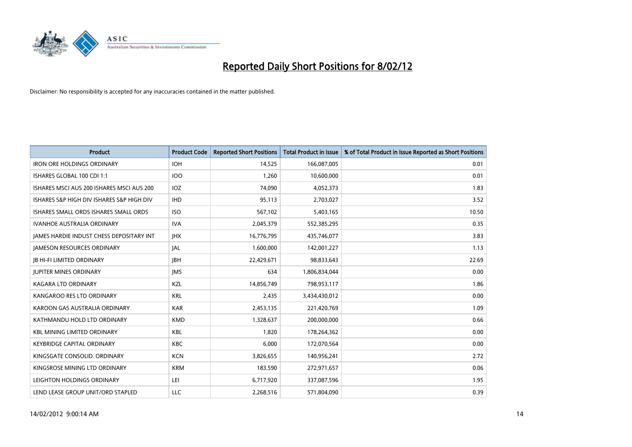

| <b>Product</b>                            | <b>Product Code</b> | <b>Reported Short Positions</b> | <b>Total Product in Issue</b> | % of Total Product in Issue Reported as Short Positions |
|-------------------------------------------|---------------------|---------------------------------|-------------------------------|---------------------------------------------------------|
| <b>IRON ORE HOLDINGS ORDINARY</b>         | <b>IOH</b>          | 14,525                          | 166,087,005                   | 0.01                                                    |
| ISHARES GLOBAL 100 CDI 1:1                | <b>IOO</b>          | 1,260                           | 10,600,000                    | 0.01                                                    |
| ISHARES MSCI AUS 200 ISHARES MSCI AUS 200 | IOZ.                | 74,090                          | 4,052,373                     | 1.83                                                    |
| ISHARES S&P HIGH DIV ISHARES S&P HIGH DIV | <b>IHD</b>          | 95,113                          | 2,703,027                     | 3.52                                                    |
| ISHARES SMALL ORDS ISHARES SMALL ORDS     | <b>ISO</b>          | 567,102                         | 5,403,165                     | 10.50                                                   |
| <b>IVANHOE AUSTRALIA ORDINARY</b>         | <b>IVA</b>          | 2,045,379                       | 552,385,295                   | 0.35                                                    |
| JAMES HARDIE INDUST CHESS DEPOSITARY INT  | <b>JHX</b>          | 16,776,795                      | 435,746,077                   | 3.83                                                    |
| <b>JAMESON RESOURCES ORDINARY</b>         | JAL                 | 1,600,000                       | 142,001,227                   | 1.13                                                    |
| <b>JB HI-FI LIMITED ORDINARY</b>          | <b>IBH</b>          | 22,429,671                      | 98,833,643                    | 22.69                                                   |
| <b>JUPITER MINES ORDINARY</b>             | <b>IMS</b>          | 634                             | 1,806,834,044                 | 0.00                                                    |
| <b>KAGARA LTD ORDINARY</b>                | <b>KZL</b>          | 14,856,749                      | 798,953,117                   | 1.86                                                    |
| KANGAROO RES LTD ORDINARY                 | <b>KRL</b>          | 2,435                           | 3,434,430,012                 | 0.00                                                    |
| KAROON GAS AUSTRALIA ORDINARY             | <b>KAR</b>          | 2,453,135                       | 221,420,769                   | 1.09                                                    |
| KATHMANDU HOLD LTD ORDINARY               | <b>KMD</b>          | 1,328,637                       | 200,000,000                   | 0.66                                                    |
| <b>KBL MINING LIMITED ORDINARY</b>        | <b>KBL</b>          | 1,820                           | 178,264,362                   | 0.00                                                    |
| <b>KEYBRIDGE CAPITAL ORDINARY</b>         | <b>KBC</b>          | 6,000                           | 172,070,564                   | 0.00                                                    |
| KINGSGATE CONSOLID, ORDINARY              | <b>KCN</b>          | 3,826,655                       | 140,956,241                   | 2.72                                                    |
| KINGSROSE MINING LTD ORDINARY             | <b>KRM</b>          | 183,590                         | 272,971,657                   | 0.06                                                    |
| LEIGHTON HOLDINGS ORDINARY                | LEI                 | 6,717,920                       | 337,087,596                   | 1.95                                                    |
| LEND LEASE GROUP UNIT/ORD STAPLED         | <b>LLC</b>          | 2,268,516                       | 571,804,090                   | 0.39                                                    |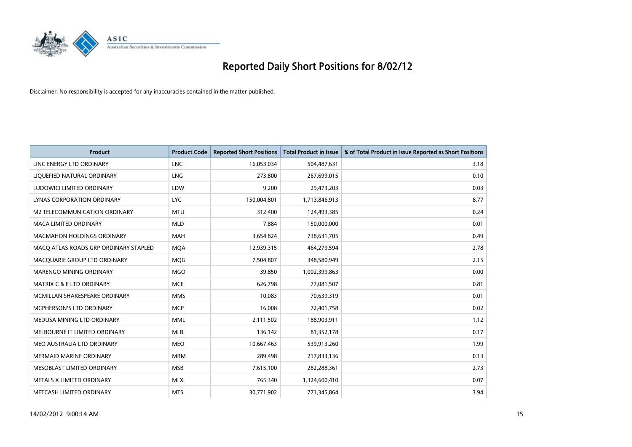

| <b>Product</b>                        | <b>Product Code</b> | <b>Reported Short Positions</b> | <b>Total Product in Issue</b> | % of Total Product in Issue Reported as Short Positions |
|---------------------------------------|---------------------|---------------------------------|-------------------------------|---------------------------------------------------------|
| LINC ENERGY LTD ORDINARY              | <b>LNC</b>          | 16,053,034                      | 504,487,631                   | 3.18                                                    |
| LIQUEFIED NATURAL ORDINARY            | <b>LNG</b>          | 273,800                         | 267,699,015                   | 0.10                                                    |
| LUDOWICI LIMITED ORDINARY             | LDW                 | 9,200                           | 29,473,203                    | 0.03                                                    |
| LYNAS CORPORATION ORDINARY            | <b>LYC</b>          | 150,004,801                     | 1,713,846,913                 | 8.77                                                    |
| M2 TELECOMMUNICATION ORDINARY         | <b>MTU</b>          | 312,400                         | 124,493,385                   | 0.24                                                    |
| <b>MACA LIMITED ORDINARY</b>          | <b>MLD</b>          | 7,884                           | 150,000,000                   | 0.01                                                    |
| <b>MACMAHON HOLDINGS ORDINARY</b>     | MAH                 | 3,654,824                       | 738,631,705                   | 0.49                                                    |
| MACO ATLAS ROADS GRP ORDINARY STAPLED | <b>MQA</b>          | 12,939,315                      | 464,279,594                   | 2.78                                                    |
| MACQUARIE GROUP LTD ORDINARY          | <b>MOG</b>          | 7,504,807                       | 348,580,949                   | 2.15                                                    |
| MARENGO MINING ORDINARY               | <b>MGO</b>          | 39,850                          | 1,002,399,863                 | 0.00                                                    |
| <b>MATRIX C &amp; E LTD ORDINARY</b>  | <b>MCE</b>          | 626,798                         | 77,081,507                    | 0.81                                                    |
| MCMILLAN SHAKESPEARE ORDINARY         | <b>MMS</b>          | 10,083                          | 70,639,319                    | 0.01                                                    |
| MCPHERSON'S LTD ORDINARY              | <b>MCP</b>          | 16,008                          | 72,401,758                    | 0.02                                                    |
| MEDUSA MINING LTD ORDINARY            | <b>MML</b>          | 2,111,502                       | 188,903,911                   | 1.12                                                    |
| MELBOURNE IT LIMITED ORDINARY         | <b>MLB</b>          | 136,142                         | 81,352,178                    | 0.17                                                    |
| MEO AUSTRALIA LTD ORDINARY            | MEO                 | 10,667,463                      | 539,913,260                   | 1.99                                                    |
| MERMAID MARINE ORDINARY               | <b>MRM</b>          | 289,498                         | 217,833,136                   | 0.13                                                    |
| MESOBLAST LIMITED ORDINARY            | <b>MSB</b>          | 7,615,100                       | 282,288,361                   | 2.73                                                    |
| METALS X LIMITED ORDINARY             | <b>MLX</b>          | 765,340                         | 1,324,600,410                 | 0.07                                                    |
| METCASH LIMITED ORDINARY              | <b>MTS</b>          | 30,771,902                      | 771,345,864                   | 3.94                                                    |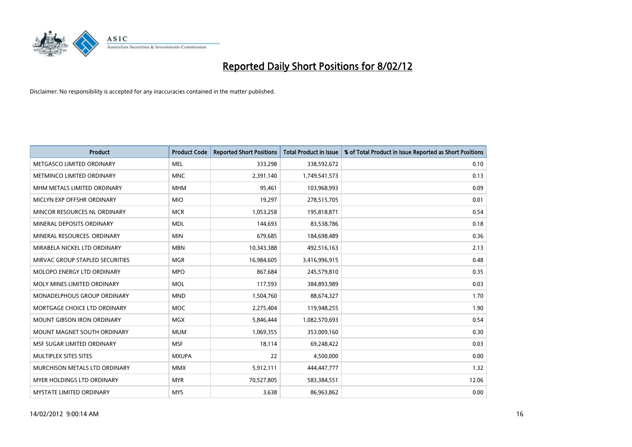

| <b>Product</b>                    | <b>Product Code</b> | <b>Reported Short Positions</b> | <b>Total Product in Issue</b> | % of Total Product in Issue Reported as Short Positions |
|-----------------------------------|---------------------|---------------------------------|-------------------------------|---------------------------------------------------------|
| METGASCO LIMITED ORDINARY         | <b>MEL</b>          | 333,298                         | 338,592,672                   | 0.10                                                    |
| METMINCO LIMITED ORDINARY         | <b>MNC</b>          | 2,391,140                       | 1,749,541,573                 | 0.13                                                    |
| MHM METALS LIMITED ORDINARY       | <b>MHM</b>          | 95,461                          | 103,968,993                   | 0.09                                                    |
| MICLYN EXP OFFSHR ORDINARY        | <b>MIO</b>          | 19,297                          | 278,515,705                   | 0.01                                                    |
| MINCOR RESOURCES NL ORDINARY      | <b>MCR</b>          | 1,053,258                       | 195,818,871                   | 0.54                                                    |
| MINERAL DEPOSITS ORDINARY         | <b>MDL</b>          | 144,693                         | 83,538,786                    | 0.18                                                    |
| MINERAL RESOURCES, ORDINARY       | <b>MIN</b>          | 679,685                         | 184,698,489                   | 0.36                                                    |
| MIRABELA NICKEL LTD ORDINARY      | <b>MBN</b>          | 10,343,388                      | 492,516,163                   | 2.13                                                    |
| MIRVAC GROUP STAPLED SECURITIES   | <b>MGR</b>          | 16,984,605                      | 3,416,996,915                 | 0.48                                                    |
| MOLOPO ENERGY LTD ORDINARY        | <b>MPO</b>          | 867,684                         | 245,579,810                   | 0.35                                                    |
| MOLY MINES LIMITED ORDINARY       | <b>MOL</b>          | 117,593                         | 384,893,989                   | 0.03                                                    |
| MONADELPHOUS GROUP ORDINARY       | <b>MND</b>          | 1,504,760                       | 88,674,327                    | 1.70                                                    |
| MORTGAGE CHOICE LTD ORDINARY      | MOC                 | 2,275,404                       | 119,948,255                   | 1.90                                                    |
| <b>MOUNT GIBSON IRON ORDINARY</b> | <b>MGX</b>          | 5,846,444                       | 1,082,570,693                 | 0.54                                                    |
| MOUNT MAGNET SOUTH ORDINARY       | <b>MUM</b>          | 1,069,355                       | 353,009,160                   | 0.30                                                    |
| MSF SUGAR LIMITED ORDINARY        | <b>MSF</b>          | 18,114                          | 69,248,422                    | 0.03                                                    |
| MULTIPLEX SITES SITES             | <b>MXUPA</b>        | 22                              | 4,500,000                     | 0.00                                                    |
| MURCHISON METALS LTD ORDINARY     | <b>MMX</b>          | 5,912,111                       | 444,447,777                   | 1.32                                                    |
| MYER HOLDINGS LTD ORDINARY        | <b>MYR</b>          | 70,527,805                      | 583,384,551                   | 12.06                                                   |
| MYSTATE LIMITED ORDINARY          | <b>MYS</b>          | 3,638                           | 86,963,862                    | 0.00                                                    |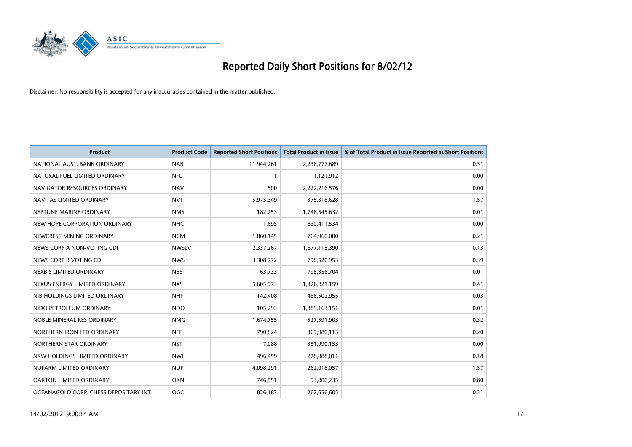

| <b>Product</b>                        | <b>Product Code</b> | <b>Reported Short Positions</b> | <b>Total Product in Issue</b> | % of Total Product in Issue Reported as Short Positions |
|---------------------------------------|---------------------|---------------------------------|-------------------------------|---------------------------------------------------------|
| NATIONAL AUST. BANK ORDINARY          | <b>NAB</b>          | 11,944,261                      | 2,238,777,689                 | 0.51                                                    |
| NATURAL FUEL LIMITED ORDINARY         | <b>NFL</b>          | 1                               | 1,121,912                     | 0.00                                                    |
| NAVIGATOR RESOURCES ORDINARY          | <b>NAV</b>          | 500                             | 2,222,216,576                 | 0.00                                                    |
| NAVITAS LIMITED ORDINARY              | <b>NVT</b>          | 5,975,349                       | 375,318,628                   | 1.57                                                    |
| NEPTUNE MARINE ORDINARY               | <b>NMS</b>          | 182,253                         | 1,748,545,632                 | 0.01                                                    |
| NEW HOPE CORPORATION ORDINARY         | <b>NHC</b>          | 1,695                           | 830,411,534                   | 0.00                                                    |
| NEWCREST MINING ORDINARY              | <b>NCM</b>          | 1,860,145                       | 764,960,000                   | 0.21                                                    |
| NEWS CORP A NON-VOTING CDI            | <b>NWSLV</b>        | 2,337,267                       | 1,677,115,390                 | 0.13                                                    |
| NEWS CORP B VOTING CDI                | <b>NWS</b>          | 3,308,772                       | 798,520,953                   | 0.39                                                    |
| NEXBIS LIMITED ORDINARY               | <b>NBS</b>          | 63,733                          | 798,356,704                   | 0.01                                                    |
| NEXUS ENERGY LIMITED ORDINARY         | <b>NXS</b>          | 5,605,973                       | 1,326,821,159                 | 0.41                                                    |
| NIB HOLDINGS LIMITED ORDINARY         | <b>NHF</b>          | 142,408                         | 466,502,955                   | 0.03                                                    |
| NIDO PETROLEUM ORDINARY               | <b>NDO</b>          | 105,293                         | 1,389,163,151                 | 0.01                                                    |
| NOBLE MINERAL RES ORDINARY            | <b>NMG</b>          | 1,674,755                       | 527,591,903                   | 0.32                                                    |
| NORTHERN IRON LTD ORDINARY            | <b>NFE</b>          | 790,824                         | 369,980,113                   | 0.20                                                    |
| NORTHERN STAR ORDINARY                | <b>NST</b>          | 7,088                           | 351,990,153                   | 0.00                                                    |
| NRW HOLDINGS LIMITED ORDINARY         | <b>NWH</b>          | 496,459                         | 278,888,011                   | 0.18                                                    |
| NUFARM LIMITED ORDINARY               | <b>NUF</b>          | 4,098,291                       | 262,018,057                   | 1.57                                                    |
| <b>OAKTON LIMITED ORDINARY</b>        | <b>OKN</b>          | 746,551                         | 93,800,235                    | 0.80                                                    |
| OCEANAGOLD CORP. CHESS DEPOSITARY INT | OGC                 | 826,183                         | 262,656,605                   | 0.31                                                    |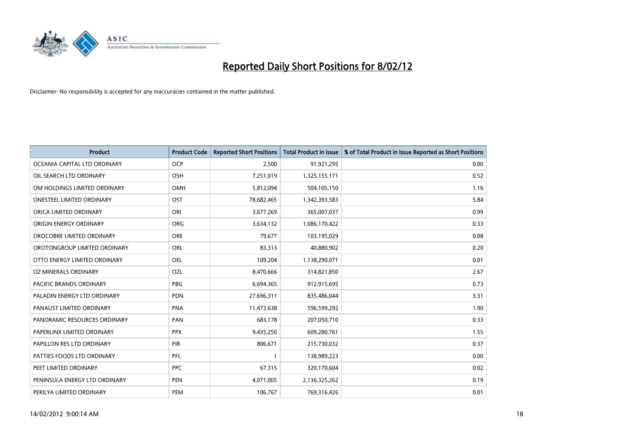

| <b>Product</b>                 | <b>Product Code</b> | <b>Reported Short Positions</b> | <b>Total Product in Issue</b> | % of Total Product in Issue Reported as Short Positions |
|--------------------------------|---------------------|---------------------------------|-------------------------------|---------------------------------------------------------|
| OCEANIA CAPITAL LTD ORDINARY   | <b>OCP</b>          | 2,500                           | 91,921,295                    | 0.00                                                    |
| OIL SEARCH LTD ORDINARY        | OSH                 | 7,251,019                       | 1,325,155,171                 | 0.52                                                    |
| OM HOLDINGS LIMITED ORDINARY   | OMH                 | 5,812,094                       | 504,105,150                   | 1.16                                                    |
| ONESTEEL LIMITED ORDINARY      | OST                 | 78,682,465                      | 1,342,393,583                 | 5.84                                                    |
| ORICA LIMITED ORDINARY         | ORI                 | 3,677,269                       | 365,007,037                   | 0.99                                                    |
| ORIGIN ENERGY ORDINARY         | <b>ORG</b>          | 3,634,132                       | 1,086,170,422                 | 0.33                                                    |
| OROCOBRE LIMITED ORDINARY      | <b>ORE</b>          | 79,677                          | 103,195,029                   | 0.08                                                    |
| OROTONGROUP LIMITED ORDINARY   | ORL                 | 83,313                          | 40,880,902                    | 0.20                                                    |
| OTTO ENERGY LIMITED ORDINARY   | OEL                 | 109,204                         | 1,138,290,071                 | 0.01                                                    |
| <b>OZ MINERALS ORDINARY</b>    | OZL                 | 8,470,666                       | 314,821,850                   | 2.67                                                    |
| <b>PACIFIC BRANDS ORDINARY</b> | <b>PBG</b>          | 6,694,365                       | 912,915,695                   | 0.73                                                    |
| PALADIN ENERGY LTD ORDINARY    | <b>PDN</b>          | 27,696,311                      | 835,486,044                   | 3.31                                                    |
| PANAUST LIMITED ORDINARY       | <b>PNA</b>          | 11,473,638                      | 596,599,292                   | 1.90                                                    |
| PANORAMIC RESOURCES ORDINARY   | PAN                 | 683,178                         | 207,050,710                   | 0.33                                                    |
| PAPERLINX LIMITED ORDINARY     | <b>PPX</b>          | 9,435,250                       | 609,280,761                   | 1.55                                                    |
| PAPILLON RES LTD ORDINARY      | PIR                 | 806,671                         | 215,730,032                   | 0.37                                                    |
| PATTIES FOODS LTD ORDINARY     | PFL                 | $\mathbf{1}$                    | 138,989,223                   | 0.00                                                    |
| PEET LIMITED ORDINARY          | <b>PPC</b>          | 67,315                          | 320,170,604                   | 0.02                                                    |
| PENINSULA ENERGY LTD ORDINARY  | <b>PEN</b>          | 4,071,005                       | 2,136,325,262                 | 0.19                                                    |
| PERILYA LIMITED ORDINARY       | PEM                 | 106,767                         | 769,316,426                   | 0.01                                                    |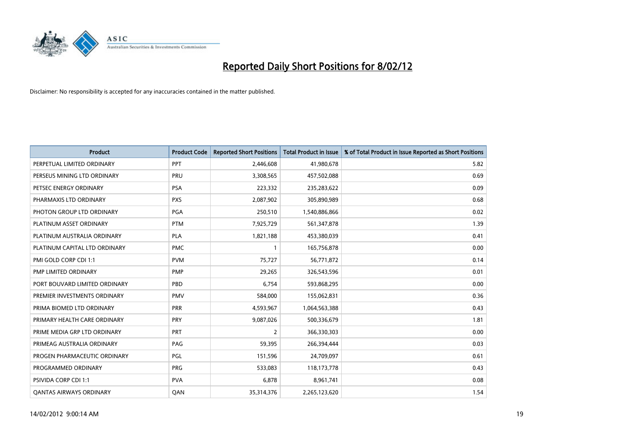

| <b>Product</b>                 | <b>Product Code</b> | <b>Reported Short Positions</b> | <b>Total Product in Issue</b> | % of Total Product in Issue Reported as Short Positions |
|--------------------------------|---------------------|---------------------------------|-------------------------------|---------------------------------------------------------|
| PERPETUAL LIMITED ORDINARY     | PPT                 | 2,446,608                       | 41,980,678                    | 5.82                                                    |
| PERSEUS MINING LTD ORDINARY    | <b>PRU</b>          | 3,308,565                       | 457,502,088                   | 0.69                                                    |
| PETSEC ENERGY ORDINARY         | <b>PSA</b>          | 223,332                         | 235,283,622                   | 0.09                                                    |
| PHARMAXIS LTD ORDINARY         | <b>PXS</b>          | 2,087,902                       | 305,890,989                   | 0.68                                                    |
| PHOTON GROUP LTD ORDINARY      | PGA                 | 250,510                         | 1,540,886,866                 | 0.02                                                    |
| PLATINUM ASSET ORDINARY        | <b>PTM</b>          | 7,925,729                       | 561,347,878                   | 1.39                                                    |
| PLATINUM AUSTRALIA ORDINARY    | <b>PLA</b>          | 1,821,188                       | 453,380,039                   | 0.41                                                    |
| PLATINUM CAPITAL LTD ORDINARY  | <b>PMC</b>          | $\mathbf{1}$                    | 165,756,878                   | 0.00                                                    |
| PMI GOLD CORP CDI 1:1          | <b>PVM</b>          | 75,727                          | 56,771,872                    | 0.14                                                    |
| <b>PMP LIMITED ORDINARY</b>    | <b>PMP</b>          | 29,265                          | 326,543,596                   | 0.01                                                    |
| PORT BOUVARD LIMITED ORDINARY  | PBD                 | 6,754                           | 593,868,295                   | 0.00                                                    |
| PREMIER INVESTMENTS ORDINARY   | <b>PMV</b>          | 584,000                         | 155,062,831                   | 0.36                                                    |
| PRIMA BIOMED LTD ORDINARY      | <b>PRR</b>          | 4,593,967                       | 1,064,563,388                 | 0.43                                                    |
| PRIMARY HEALTH CARE ORDINARY   | <b>PRY</b>          | 9,087,026                       | 500,336,679                   | 1.81                                                    |
| PRIME MEDIA GRP LTD ORDINARY   | <b>PRT</b>          | $\overline{2}$                  | 366,330,303                   | 0.00                                                    |
| PRIMEAG AUSTRALIA ORDINARY     | PAG                 | 59,395                          | 266,394,444                   | 0.03                                                    |
| PROGEN PHARMACEUTIC ORDINARY   | PGL                 | 151,596                         | 24,709,097                    | 0.61                                                    |
| PROGRAMMED ORDINARY            | <b>PRG</b>          | 533,083                         | 118,173,778                   | 0.43                                                    |
| PSIVIDA CORP CDI 1:1           | <b>PVA</b>          | 6,878                           | 8,961,741                     | 0.08                                                    |
| <b>QANTAS AIRWAYS ORDINARY</b> | QAN                 | 35,314,376                      | 2,265,123,620                 | 1.54                                                    |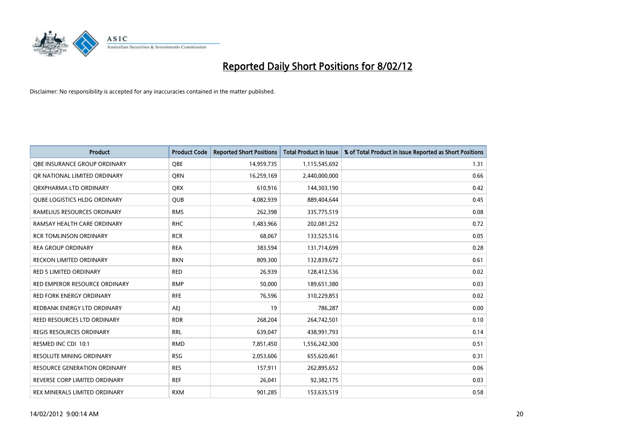

| <b>Product</b>                      | <b>Product Code</b> | <b>Reported Short Positions</b> | <b>Total Product in Issue</b> | % of Total Product in Issue Reported as Short Positions |
|-------------------------------------|---------------------|---------------------------------|-------------------------------|---------------------------------------------------------|
| OBE INSURANCE GROUP ORDINARY        | <b>OBE</b>          | 14,959,735                      | 1,115,545,692                 | 1.31                                                    |
| OR NATIONAL LIMITED ORDINARY        | QRN                 | 16,259,169                      | 2,440,000,000                 | 0.66                                                    |
| ORXPHARMA LTD ORDINARY              | <b>QRX</b>          | 610,916                         | 144,303,190                   | 0.42                                                    |
| <b>OUBE LOGISTICS HLDG ORDINARY</b> | <b>QUB</b>          | 4,082,939                       | 889,404,644                   | 0.45                                                    |
| RAMELIUS RESOURCES ORDINARY         | <b>RMS</b>          | 262,398                         | 335,775,519                   | 0.08                                                    |
| RAMSAY HEALTH CARE ORDINARY         | <b>RHC</b>          | 1,483,966                       | 202,081,252                   | 0.72                                                    |
| <b>RCR TOMLINSON ORDINARY</b>       | <b>RCR</b>          | 68,067                          | 133,525,516                   | 0.05                                                    |
| <b>REA GROUP ORDINARY</b>           | <b>REA</b>          | 383,594                         | 131,714,699                   | 0.28                                                    |
| <b>RECKON LIMITED ORDINARY</b>      | <b>RKN</b>          | 809,300                         | 132,839,672                   | 0.61                                                    |
| <b>RED 5 LIMITED ORDINARY</b>       | <b>RED</b>          | 26,939                          | 128,412,536                   | 0.02                                                    |
| RED EMPEROR RESOURCE ORDINARY       | <b>RMP</b>          | 50,000                          | 189,651,380                   | 0.03                                                    |
| <b>RED FORK ENERGY ORDINARY</b>     | <b>RFE</b>          | 76,596                          | 310,229,853                   | 0.02                                                    |
| REDBANK ENERGY LTD ORDINARY         | AEJ                 | 19                              | 786,287                       | 0.00                                                    |
| REED RESOURCES LTD ORDINARY         | <b>RDR</b>          | 268,204                         | 264,742,501                   | 0.10                                                    |
| <b>REGIS RESOURCES ORDINARY</b>     | <b>RRL</b>          | 639,047                         | 438,991,793                   | 0.14                                                    |
| RESMED INC CDI 10:1                 | <b>RMD</b>          | 7,851,450                       | 1,556,242,300                 | 0.51                                                    |
| <b>RESOLUTE MINING ORDINARY</b>     | <b>RSG</b>          | 2,053,606                       | 655,620,461                   | 0.31                                                    |
| <b>RESOURCE GENERATION ORDINARY</b> | <b>RES</b>          | 157,911                         | 262,895,652                   | 0.06                                                    |
| REVERSE CORP LIMITED ORDINARY       | <b>REF</b>          | 26,041                          | 92,382,175                    | 0.03                                                    |
| REX MINERALS LIMITED ORDINARY       | <b>RXM</b>          | 901,285                         | 153,635,519                   | 0.58                                                    |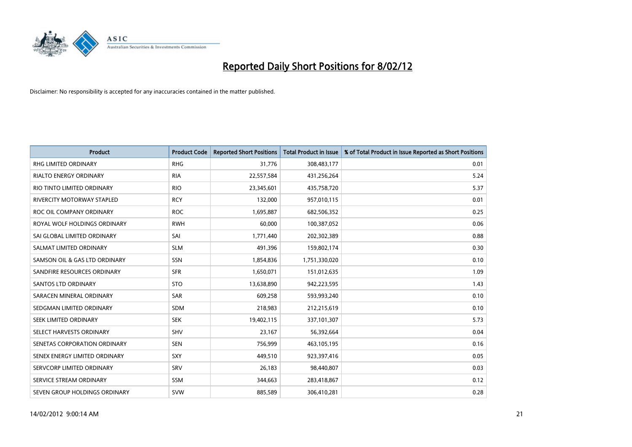

| <b>Product</b>                    | <b>Product Code</b> | <b>Reported Short Positions</b> | <b>Total Product in Issue</b> | % of Total Product in Issue Reported as Short Positions |
|-----------------------------------|---------------------|---------------------------------|-------------------------------|---------------------------------------------------------|
| <b>RHG LIMITED ORDINARY</b>       | <b>RHG</b>          | 31,776                          | 308,483,177                   | 0.01                                                    |
| <b>RIALTO ENERGY ORDINARY</b>     | <b>RIA</b>          | 22,557,584                      | 431,256,264                   | 5.24                                                    |
| RIO TINTO LIMITED ORDINARY        | <b>RIO</b>          | 23,345,601                      | 435,758,720                   | 5.37                                                    |
| <b>RIVERCITY MOTORWAY STAPLED</b> | <b>RCY</b>          | 132,000                         | 957,010,115                   | 0.01                                                    |
| ROC OIL COMPANY ORDINARY          | <b>ROC</b>          | 1,695,887                       | 682,506,352                   | 0.25                                                    |
| ROYAL WOLF HOLDINGS ORDINARY      | <b>RWH</b>          | 60,000                          | 100,387,052                   | 0.06                                                    |
| SAI GLOBAL LIMITED ORDINARY       | SAI                 | 1,771,440                       | 202,302,389                   | 0.88                                                    |
| SALMAT LIMITED ORDINARY           | <b>SLM</b>          | 491,396                         | 159,802,174                   | 0.30                                                    |
| SAMSON OIL & GAS LTD ORDINARY     | SSN                 | 1,854,836                       | 1,751,330,020                 | 0.10                                                    |
| SANDFIRE RESOURCES ORDINARY       | <b>SFR</b>          | 1,650,071                       | 151,012,635                   | 1.09                                                    |
| SANTOS LTD ORDINARY               | <b>STO</b>          | 13,638,890                      | 942,223,595                   | 1.43                                                    |
| SARACEN MINERAL ORDINARY          | SAR                 | 609,258                         | 593,993,240                   | 0.10                                                    |
| SEDGMAN LIMITED ORDINARY          | SDM                 | 218,983                         | 212,215,619                   | 0.10                                                    |
| SEEK LIMITED ORDINARY             | <b>SEK</b>          | 19,402,115                      | 337,101,307                   | 5.73                                                    |
| SELECT HARVESTS ORDINARY          | SHV                 | 23,167                          | 56,392,664                    | 0.04                                                    |
| SENETAS CORPORATION ORDINARY      | <b>SEN</b>          | 756,999                         | 463,105,195                   | 0.16                                                    |
| SENEX ENERGY LIMITED ORDINARY     | SXY                 | 449,510                         | 923,397,416                   | 0.05                                                    |
| SERVCORP LIMITED ORDINARY         | SRV                 | 26,183                          | 98,440,807                    | 0.03                                                    |
| SERVICE STREAM ORDINARY           | <b>SSM</b>          | 344,663                         | 283,418,867                   | 0.12                                                    |
| SEVEN GROUP HOLDINGS ORDINARY     | <b>SVW</b>          | 885,589                         | 306,410,281                   | 0.28                                                    |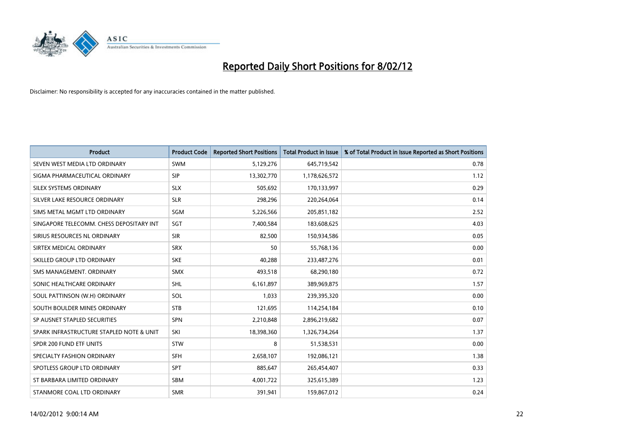

| <b>Product</b>                           | <b>Product Code</b> | <b>Reported Short Positions</b> | <b>Total Product in Issue</b> | % of Total Product in Issue Reported as Short Positions |
|------------------------------------------|---------------------|---------------------------------|-------------------------------|---------------------------------------------------------|
| SEVEN WEST MEDIA LTD ORDINARY            | <b>SWM</b>          | 5,129,276                       | 645,719,542                   | 0.78                                                    |
| SIGMA PHARMACEUTICAL ORDINARY            | <b>SIP</b>          | 13,302,770                      | 1,178,626,572                 | 1.12                                                    |
| SILEX SYSTEMS ORDINARY                   | <b>SLX</b>          | 505,692                         | 170,133,997                   | 0.29                                                    |
| SILVER LAKE RESOURCE ORDINARY            | <b>SLR</b>          | 298,296                         | 220,264,064                   | 0.14                                                    |
| SIMS METAL MGMT LTD ORDINARY             | <b>SGM</b>          | 5,226,566                       | 205,851,182                   | 2.52                                                    |
| SINGAPORE TELECOMM. CHESS DEPOSITARY INT | SGT                 | 7,400,584                       | 183,608,625                   | 4.03                                                    |
| SIRIUS RESOURCES NL ORDINARY             | <b>SIR</b>          | 82,500                          | 150,934,586                   | 0.05                                                    |
| SIRTEX MEDICAL ORDINARY                  | <b>SRX</b>          | 50                              | 55,768,136                    | 0.00                                                    |
| SKILLED GROUP LTD ORDINARY               | <b>SKE</b>          | 40,288                          | 233,487,276                   | 0.01                                                    |
| SMS MANAGEMENT, ORDINARY                 | <b>SMX</b>          | 493,518                         | 68,290,180                    | 0.72                                                    |
| SONIC HEALTHCARE ORDINARY                | SHL                 | 6,161,897                       | 389,969,875                   | 1.57                                                    |
| SOUL PATTINSON (W.H) ORDINARY            | SOL                 | 1,033                           | 239,395,320                   | 0.00                                                    |
| SOUTH BOULDER MINES ORDINARY             | <b>STB</b>          | 121,695                         | 114,254,184                   | 0.10                                                    |
| SP AUSNET STAPLED SECURITIES             | <b>SPN</b>          | 2,210,848                       | 2,896,219,682                 | 0.07                                                    |
| SPARK INFRASTRUCTURE STAPLED NOTE & UNIT | SKI                 | 18,398,360                      | 1,326,734,264                 | 1.37                                                    |
| SPDR 200 FUND ETF UNITS                  | <b>STW</b>          | 8                               | 51,538,531                    | 0.00                                                    |
| SPECIALTY FASHION ORDINARY               | SFH                 | 2,658,107                       | 192,086,121                   | 1.38                                                    |
| SPOTLESS GROUP LTD ORDINARY              | <b>SPT</b>          | 885,647                         | 265,454,407                   | 0.33                                                    |
| ST BARBARA LIMITED ORDINARY              | <b>SBM</b>          | 4,001,722                       | 325,615,389                   | 1.23                                                    |
| STANMORE COAL LTD ORDINARY               | <b>SMR</b>          | 391,941                         | 159,867,012                   | 0.24                                                    |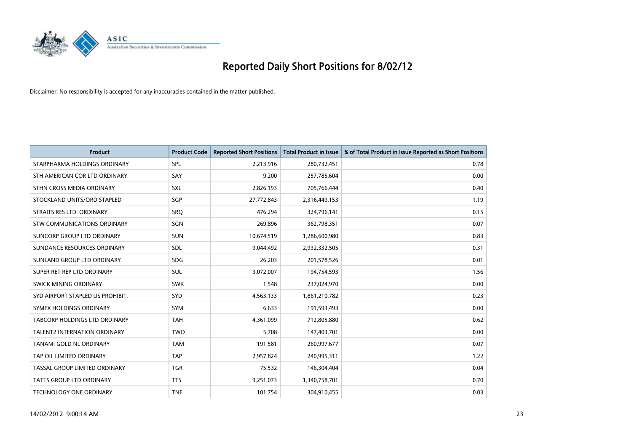

| <b>Product</b>                       | <b>Product Code</b> | <b>Reported Short Positions</b> | <b>Total Product in Issue</b> | % of Total Product in Issue Reported as Short Positions |
|--------------------------------------|---------------------|---------------------------------|-------------------------------|---------------------------------------------------------|
| STARPHARMA HOLDINGS ORDINARY         | SPL                 | 2,213,916                       | 280,732,451                   | 0.78                                                    |
| STH AMERICAN COR LTD ORDINARY        | SAY                 | 9,200                           | 257,785,604                   | 0.00                                                    |
| STHN CROSS MEDIA ORDINARY            | <b>SXL</b>          | 2,826,193                       | 705,766,444                   | 0.40                                                    |
| STOCKLAND UNITS/ORD STAPLED          | SGP                 | 27,772,843                      | 2,316,449,153                 | 1.19                                                    |
| STRAITS RES LTD. ORDINARY            | <b>SRO</b>          | 476,294                         | 324,796,141                   | 0.15                                                    |
| STW COMMUNICATIONS ORDINARY          | SGN                 | 269,896                         | 362,798,351                   | 0.07                                                    |
| SUNCORP GROUP LTD ORDINARY           | <b>SUN</b>          | 10,674,519                      | 1,286,600,980                 | 0.83                                                    |
| SUNDANCE RESOURCES ORDINARY          | SDL                 | 9,044,492                       | 2,932,332,505                 | 0.31                                                    |
| SUNLAND GROUP LTD ORDINARY           | <b>SDG</b>          | 26,203                          | 201,578,526                   | 0.01                                                    |
| SUPER RET REP LTD ORDINARY           | <b>SUL</b>          | 3,072,007                       | 194,754,593                   | 1.56                                                    |
| SWICK MINING ORDINARY                | <b>SWK</b>          | 1,548                           | 237,024,970                   | 0.00                                                    |
| SYD AIRPORT STAPLED US PROHIBIT.     | <b>SYD</b>          | 4,563,133                       | 1,861,210,782                 | 0.23                                                    |
| SYMEX HOLDINGS ORDINARY              | <b>SYM</b>          | 6,633                           | 191,593,493                   | 0.00                                                    |
| <b>TABCORP HOLDINGS LTD ORDINARY</b> | <b>TAH</b>          | 4,361,099                       | 712,805,880                   | 0.62                                                    |
| <b>TALENT2 INTERNATION ORDINARY</b>  | <b>TWO</b>          | 5,708                           | 147,403,701                   | 0.00                                                    |
| TANAMI GOLD NL ORDINARY              | <b>TAM</b>          | 191,581                         | 260,997,677                   | 0.07                                                    |
| TAP OIL LIMITED ORDINARY             | <b>TAP</b>          | 2,957,824                       | 240,995,311                   | 1.22                                                    |
| TASSAL GROUP LIMITED ORDINARY        | <b>TGR</b>          | 75,532                          | 146,304,404                   | 0.04                                                    |
| <b>TATTS GROUP LTD ORDINARY</b>      | <b>TTS</b>          | 9,251,073                       | 1,340,758,701                 | 0.70                                                    |
| TECHNOLOGY ONE ORDINARY              | <b>TNE</b>          | 101,754                         | 304,910,455                   | 0.03                                                    |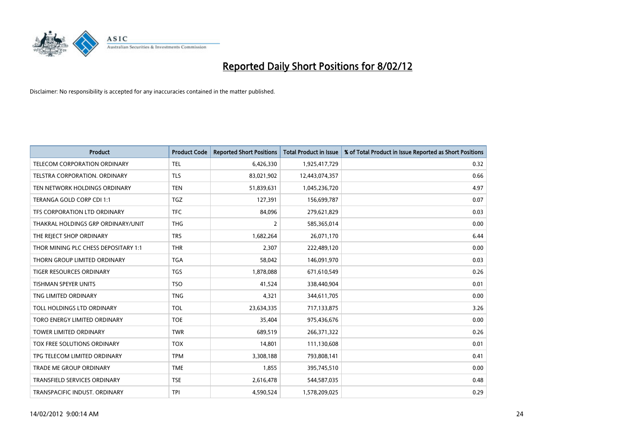

| <b>Product</b>                       | <b>Product Code</b> | <b>Reported Short Positions</b> | <b>Total Product in Issue</b> | % of Total Product in Issue Reported as Short Positions |
|--------------------------------------|---------------------|---------------------------------|-------------------------------|---------------------------------------------------------|
| <b>TELECOM CORPORATION ORDINARY</b>  | <b>TEL</b>          | 6,426,330                       | 1,925,417,729                 | 0.32                                                    |
| TELSTRA CORPORATION, ORDINARY        | <b>TLS</b>          | 83,021,902                      | 12,443,074,357                | 0.66                                                    |
| TEN NETWORK HOLDINGS ORDINARY        | <b>TEN</b>          | 51,839,631                      | 1,045,236,720                 | 4.97                                                    |
| TERANGA GOLD CORP CDI 1:1            | <b>TGZ</b>          | 127,391                         | 156,699,787                   | 0.07                                                    |
| TFS CORPORATION LTD ORDINARY         | <b>TFC</b>          | 84,096                          | 279,621,829                   | 0.03                                                    |
| THAKRAL HOLDINGS GRP ORDINARY/UNIT   | <b>THG</b>          | 2                               | 585,365,014                   | 0.00                                                    |
| THE REJECT SHOP ORDINARY             | <b>TRS</b>          | 1,682,264                       | 26,071,170                    | 6.44                                                    |
| THOR MINING PLC CHESS DEPOSITARY 1:1 | <b>THR</b>          | 2,307                           | 222,489,120                   | 0.00                                                    |
| THORN GROUP LIMITED ORDINARY         | <b>TGA</b>          | 58,042                          | 146,091,970                   | 0.03                                                    |
| <b>TIGER RESOURCES ORDINARY</b>      | <b>TGS</b>          | 1,878,088                       | 671,610,549                   | 0.26                                                    |
| <b>TISHMAN SPEYER UNITS</b>          | <b>TSO</b>          | 41,524                          | 338,440,904                   | 0.01                                                    |
| TNG LIMITED ORDINARY                 | <b>TNG</b>          | 4,321                           | 344,611,705                   | 0.00                                                    |
| TOLL HOLDINGS LTD ORDINARY           | <b>TOL</b>          | 23,634,335                      | 717,133,875                   | 3.26                                                    |
| <b>TORO ENERGY LIMITED ORDINARY</b>  | <b>TOE</b>          | 35.404                          | 975,436,676                   | 0.00                                                    |
| TOWER LIMITED ORDINARY               | <b>TWR</b>          | 689,519                         | 266, 371, 322                 | 0.26                                                    |
| TOX FREE SOLUTIONS ORDINARY          | <b>TOX</b>          | 14,801                          | 111,130,608                   | 0.01                                                    |
| TPG TELECOM LIMITED ORDINARY         | <b>TPM</b>          | 3,308,188                       | 793,808,141                   | 0.41                                                    |
| TRADE ME GROUP ORDINARY              | <b>TME</b>          | 1,855                           | 395,745,510                   | 0.00                                                    |
| <b>TRANSFIELD SERVICES ORDINARY</b>  | <b>TSE</b>          | 2,616,478                       | 544,587,035                   | 0.48                                                    |
| TRANSPACIFIC INDUST, ORDINARY        | <b>TPI</b>          | 4,590,524                       | 1,578,209,025                 | 0.29                                                    |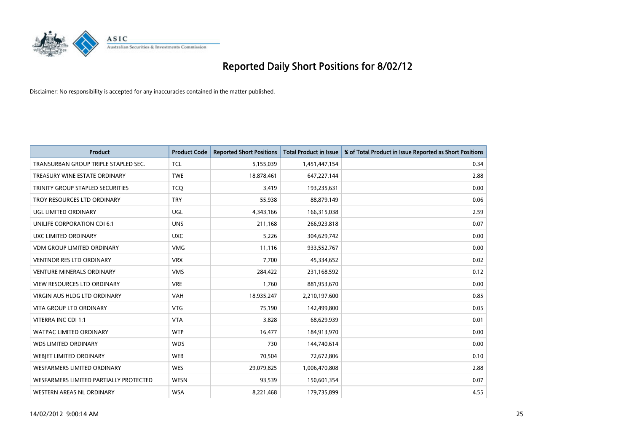

| <b>Product</b>                         | <b>Product Code</b> | <b>Reported Short Positions</b> | <b>Total Product in Issue</b> | % of Total Product in Issue Reported as Short Positions |
|----------------------------------------|---------------------|---------------------------------|-------------------------------|---------------------------------------------------------|
| TRANSURBAN GROUP TRIPLE STAPLED SEC.   | <b>TCL</b>          | 5,155,039                       | 1,451,447,154                 | 0.34                                                    |
| TREASURY WINE ESTATE ORDINARY          | <b>TWE</b>          | 18,878,461                      | 647,227,144                   | 2.88                                                    |
| TRINITY GROUP STAPLED SECURITIES       | <b>TCO</b>          | 3,419                           | 193,235,631                   | 0.00                                                    |
| TROY RESOURCES LTD ORDINARY            | <b>TRY</b>          | 55,938                          | 88,879,149                    | 0.06                                                    |
| <b>UGL LIMITED ORDINARY</b>            | UGL                 | 4,343,166                       | 166,315,038                   | 2.59                                                    |
| UNILIFE CORPORATION CDI 6:1            | <b>UNS</b>          | 211,168                         | 266,923,818                   | 0.07                                                    |
| UXC LIMITED ORDINARY                   | <b>UXC</b>          | 5,226                           | 304,629,742                   | 0.00                                                    |
| <b>VDM GROUP LIMITED ORDINARY</b>      | <b>VMG</b>          | 11,116                          | 933,552,767                   | 0.00                                                    |
| <b>VENTNOR RES LTD ORDINARY</b>        | <b>VRX</b>          | 7,700                           | 45,334,652                    | 0.02                                                    |
| <b>VENTURE MINERALS ORDINARY</b>       | <b>VMS</b>          | 284,422                         | 231,168,592                   | 0.12                                                    |
| VIEW RESOURCES LTD ORDINARY            | <b>VRE</b>          | 1,760                           | 881,953,670                   | 0.00                                                    |
| <b>VIRGIN AUS HLDG LTD ORDINARY</b>    | <b>VAH</b>          | 18,935,247                      | 2,210,197,600                 | 0.85                                                    |
| <b>VITA GROUP LTD ORDINARY</b>         | <b>VTG</b>          | 75,190                          | 142,499,800                   | 0.05                                                    |
| VITERRA INC CDI 1:1                    | <b>VTA</b>          | 3,828                           | 68,629,939                    | 0.01                                                    |
| <b>WATPAC LIMITED ORDINARY</b>         | <b>WTP</b>          | 16,477                          | 184,913,970                   | 0.00                                                    |
| <b>WDS LIMITED ORDINARY</b>            | <b>WDS</b>          | 730                             | 144,740,614                   | 0.00                                                    |
| WEBJET LIMITED ORDINARY                | <b>WEB</b>          | 70,504                          | 72,672,806                    | 0.10                                                    |
| <b>WESFARMERS LIMITED ORDINARY</b>     | <b>WES</b>          | 29,079,825                      | 1,006,470,808                 | 2.88                                                    |
| WESFARMERS LIMITED PARTIALLY PROTECTED | <b>WESN</b>         | 93,539                          | 150,601,354                   | 0.07                                                    |
| WESTERN AREAS NL ORDINARY              | <b>WSA</b>          | 8,221,468                       | 179,735,899                   | 4.55                                                    |